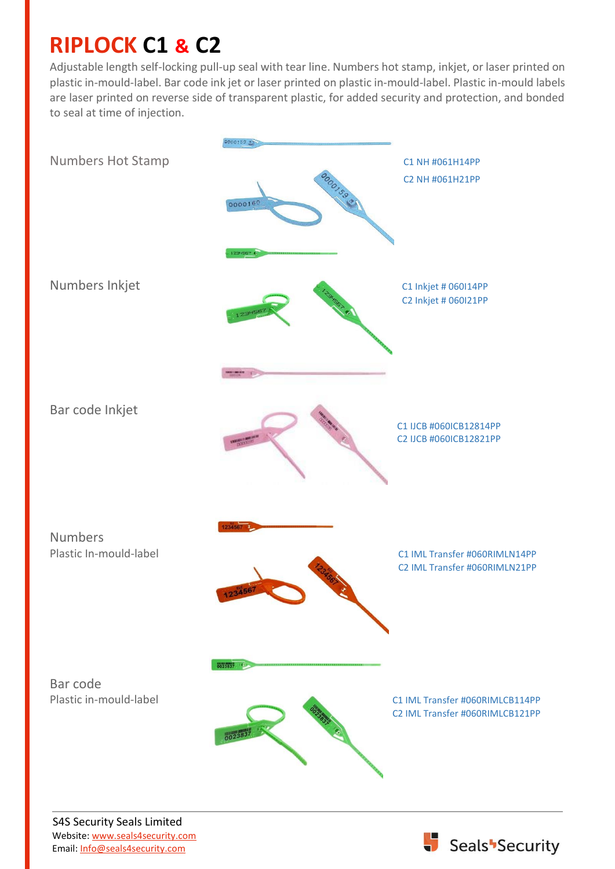## **RIPLOCK C1 & C2**

Adjustable length self-locking pull-up seal with tear line. Numbers hot stamp, inkjet, or laser printed on plastic in-mould-label. Bar code ink jet or laser printed on plastic in-mould-label. Plastic in-mould labels are laser printed on reverse side of transparent plastic, for added security and protection, and bonded to seal at time of injection.



S4S Security Seals Limited Website: [www.seals4security.com](http://www.seals4security.com/) Email[: Info@seals4security.com](mailto:Info@seals4security.com)